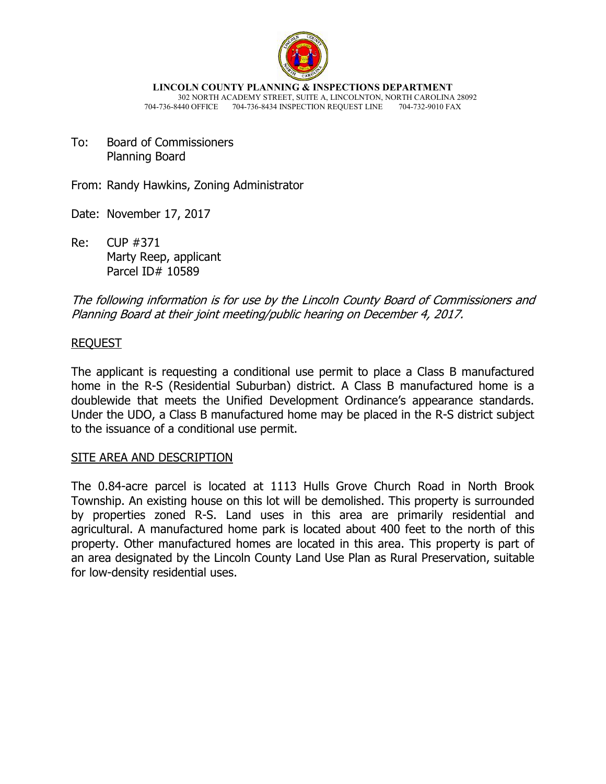

**LINCOLN COUNTY PLANNING & INSPECTIONS DEPARTMENT** 302 NORTH ACADEMY STREET, SUITE A, LINCOLNTON, NORTH CAROLINA 28092 704-736-8440 OFFICE 704-736-8434 INSPECTION REQUEST LINE 704-732-9010 FAX

To: Board of Commissioners Planning Board

From: Randy Hawkins, Zoning Administrator

- Date: November 17, 2017
- Re: CUP #371 Marty Reep, applicant Parcel ID# 10589

The following information is for use by the Lincoln County Board of Commissioners and Planning Board at their joint meeting/public hearing on December 4, 2017.

## REQUEST

The applicant is requesting a conditional use permit to place a Class B manufactured home in the R-S (Residential Suburban) district. A Class B manufactured home is a doublewide that meets the Unified Development Ordinance's appearance standards. Under the UDO, a Class B manufactured home may be placed in the R-S district subject to the issuance of a conditional use permit.

## SITE AREA AND DESCRIPTION

The 0.84-acre parcel is located at 1113 Hulls Grove Church Road in North Brook Township. An existing house on this lot will be demolished. This property is surrounded by properties zoned R-S. Land uses in this area are primarily residential and agricultural. A manufactured home park is located about 400 feet to the north of this property. Other manufactured homes are located in this area. This property is part of an area designated by the Lincoln County Land Use Plan as Rural Preservation, suitable for low-density residential uses.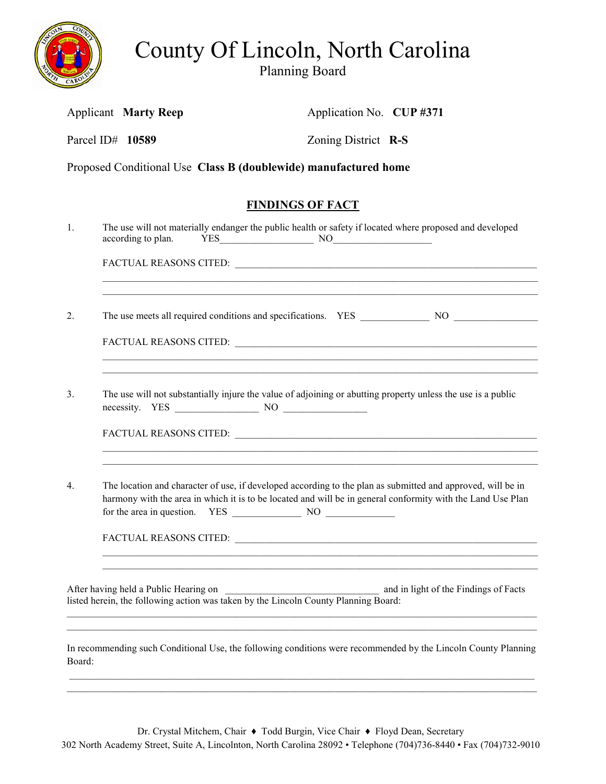

County Of Lincoln, North Carolina

Planning Board

|        |                                                                                                              | <b>Applicant Marty Reep</b>           | Application No. CUP #371                                                                                                                                                                                                                                                                                       |                                       |  |
|--------|--------------------------------------------------------------------------------------------------------------|---------------------------------------|----------------------------------------------------------------------------------------------------------------------------------------------------------------------------------------------------------------------------------------------------------------------------------------------------------------|---------------------------------------|--|
|        |                                                                                                              | Parcel ID# 10589                      | Zoning District R-S                                                                                                                                                                                                                                                                                            |                                       |  |
|        |                                                                                                              |                                       | Proposed Conditional Use Class B (doublewide) manufactured home                                                                                                                                                                                                                                                |                                       |  |
|        |                                                                                                              |                                       | <b>FINDINGS OF FACT</b>                                                                                                                                                                                                                                                                                        |                                       |  |
| 1.     |                                                                                                              | according to plan.                    | The use will not materially endanger the public health or safety if located where proposed and developed<br>$YES$ NO $NOS$                                                                                                                                                                                     |                                       |  |
|        |                                                                                                              |                                       |                                                                                                                                                                                                                                                                                                                |                                       |  |
| 2.     |                                                                                                              |                                       |                                                                                                                                                                                                                                                                                                                |                                       |  |
|        |                                                                                                              |                                       |                                                                                                                                                                                                                                                                                                                |                                       |  |
| 3.     | The use will not substantially injure the value of adjoining or abutting property unless the use is a public |                                       |                                                                                                                                                                                                                                                                                                                |                                       |  |
|        |                                                                                                              |                                       |                                                                                                                                                                                                                                                                                                                |                                       |  |
| 4.     |                                                                                                              |                                       | ,我们也不能在这里的时候,我们也不能在这里的时候,我们也不能在这里的时候,我们也不能会在这里的时候,我们也不能会在这里的时候,我们也不能会在这里的时候,我们也不<br>The location and character of use, if developed according to the plan as submitted and approved, will be in<br>harmony with the area in which it is to be located and will be in general conformity with the Land Use Plan |                                       |  |
|        |                                                                                                              |                                       |                                                                                                                                                                                                                                                                                                                |                                       |  |
|        |                                                                                                              | After having held a Public Hearing on | listed herein, the following action was taken by the Lincoln County Planning Board:                                                                                                                                                                                                                            | and in light of the Findings of Facts |  |
| Board: |                                                                                                              |                                       | In recommending such Conditional Use, the following conditions were recommended by the Lincoln County Planning                                                                                                                                                                                                 |                                       |  |

Dr. Crystal Mitchem, Chair ♦ Todd Burgin, Vice Chair ♦ Floyd Dean, Secretary 302 North Academy Street, Suite A, Lincolnton, North Carolina 28092 • Telephone (704)736-8440 • Fax (704)732-9010

 \_\_\_\_\_\_\_\_\_\_\_\_\_\_\_\_\_\_\_\_\_\_\_\_\_\_\_\_\_\_\_\_\_\_\_\_\_\_\_\_\_\_\_\_\_\_\_\_\_\_\_\_\_\_\_\_\_\_\_\_\_\_\_\_\_\_\_\_\_\_\_\_\_\_\_\_\_\_\_\_\_\_\_\_\_\_\_\_\_\_\_\_\_\_  $\_$  ,  $\_$  ,  $\_$  ,  $\_$  ,  $\_$  ,  $\_$  ,  $\_$  ,  $\_$  ,  $\_$  ,  $\_$  ,  $\_$  ,  $\_$  ,  $\_$  ,  $\_$  ,  $\_$  ,  $\_$  ,  $\_$  ,  $\_$  ,  $\_$  ,  $\_$  ,  $\_$  ,  $\_$  ,  $\_$  ,  $\_$  ,  $\_$  ,  $\_$  ,  $\_$  ,  $\_$  ,  $\_$  ,  $\_$  ,  $\_$  ,  $\_$  ,  $\_$  ,  $\_$  ,  $\_$  ,  $\_$  ,  $\_$  ,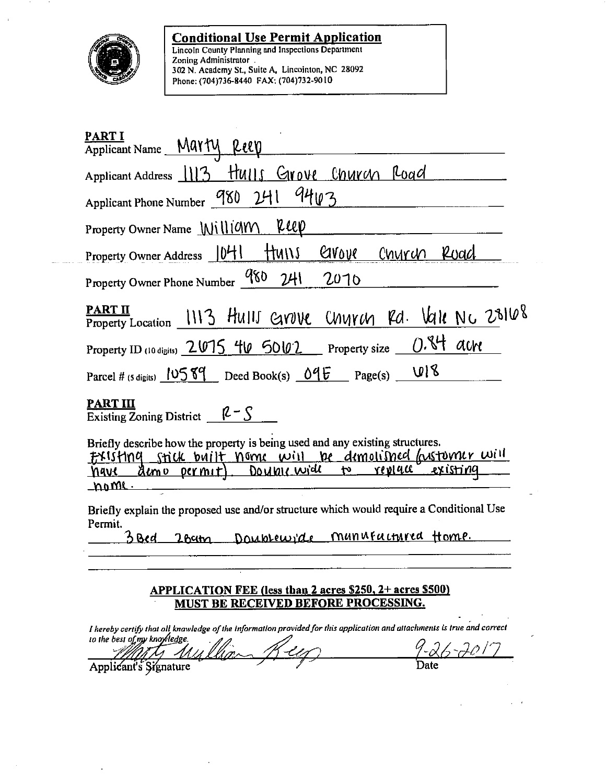

i.

**Conditional Use Permit Application**<br>Lincoln County Planning and Inspections Department<br>Zoning Administrator<br>302 N. Academy St., Suite A. Lincointon, NC 28092<br>Phone: (704)736-8440 FAX: (704)732-9010

| <b>PART I</b><br>Applicant Name __MartV<br>Reev                                                                                                                                                                                                  |
|--------------------------------------------------------------------------------------------------------------------------------------------------------------------------------------------------------------------------------------------------|
| Applicant Address 1113 Hulls Grove Church Road                                                                                                                                                                                                   |
| 9403<br>Applicant Phone Number 980 241                                                                                                                                                                                                           |
| reep<br>Property Owner Name MilliCM                                                                                                                                                                                                              |
| Grove<br>Property Owner Address $ 04 $<br>ttuns<br>Church Road                                                                                                                                                                                   |
| Property Owner Phone Number 980<br>2H<br>2070                                                                                                                                                                                                    |
| PART II<br>FARILY Location 1113 HUIII GNUVE CHUYCH Rd. Vale NC 28168                                                                                                                                                                             |
| $0.84$ acre<br>Property ID (10 digits) 2015 40 5002 Property size                                                                                                                                                                                |
| U18<br>Parcel # (5 digits) $10589$ Deed Book(s) $096$ Page(s)                                                                                                                                                                                    |
| <b>PART III</b><br>Existing Zoning District $\beta - S$                                                                                                                                                                                          |
| Briefly describe how the property is being used and any existing structures.<br><u>FXISHNG Stick built Nome will be demolished lastomer will</u><br>Double wide<br><u>existing</u><br><u>reveac</u><br><u>Almo permit</u><br>t٠<br>navl<br>nome. |
| Briefly explain the proposed use and/or structure which would require a Conditional Use<br>Permit.<br>Doublewiche munistrieured Home.<br>38cd<br>$2$ <i>h</i> $4$                                                                                |
| <b>APPLICATION FEE (less than 2 acres \$250, 2+ acres \$500)</b><br>MUST BE RECEIVED BEFORE PROCESSING.                                                                                                                                          |
| I hereby certify that all knawledge of the information provided for this application and attachments is true and correct<br>to the best of my knowledge.                                                                                         |
| Date<br>Applicant's Signature                                                                                                                                                                                                                    |

 $\ddot{\phantom{a}}$ 

 $\ddot{\phantom{0}}$ 

 $\mathcal{L}^{(1)}$ 

 $\omega=0$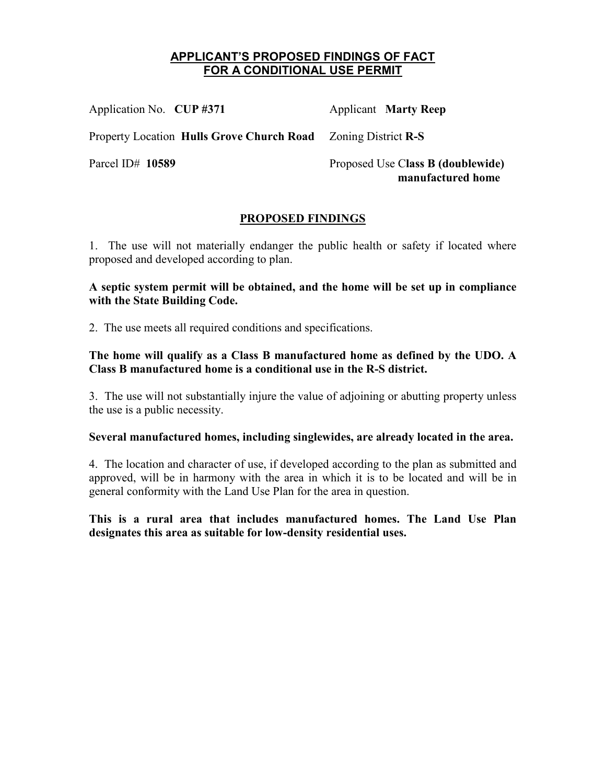# **APPLICANT'S PROPOSED FINDINGS OF FACT FOR A CONDITIONAL USE PERMIT**

Application No. **CUP #371 Applicant Marty Reep** Property Location **Hulls Grove Church Road** Zoning District **R-S** Parcel ID# **10589** Proposed Use C**lass B (doublewide) manufactured home**

## **PROPOSED FINDINGS**

1. The use will not materially endanger the public health or safety if located where proposed and developed according to plan.

## **A septic system permit will be obtained, and the home will be set up in compliance with the State Building Code.**

2. The use meets all required conditions and specifications.

**The home will qualify as a Class B manufactured home as defined by the UDO. A Class B manufactured home is a conditional use in the R-S district.** 

3. The use will not substantially injure the value of adjoining or abutting property unless the use is a public necessity.

## **Several manufactured homes, including singlewides, are already located in the area.**

4. The location and character of use, if developed according to the plan as submitted and approved, will be in harmony with the area in which it is to be located and will be in general conformity with the Land Use Plan for the area in question.

**This is a rural area that includes manufactured homes. The Land Use Plan designates this area as suitable for low-density residential uses.**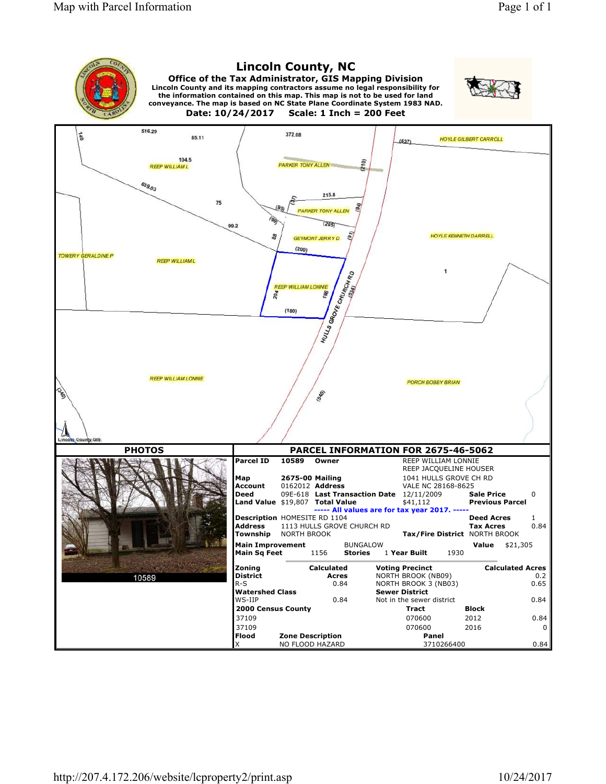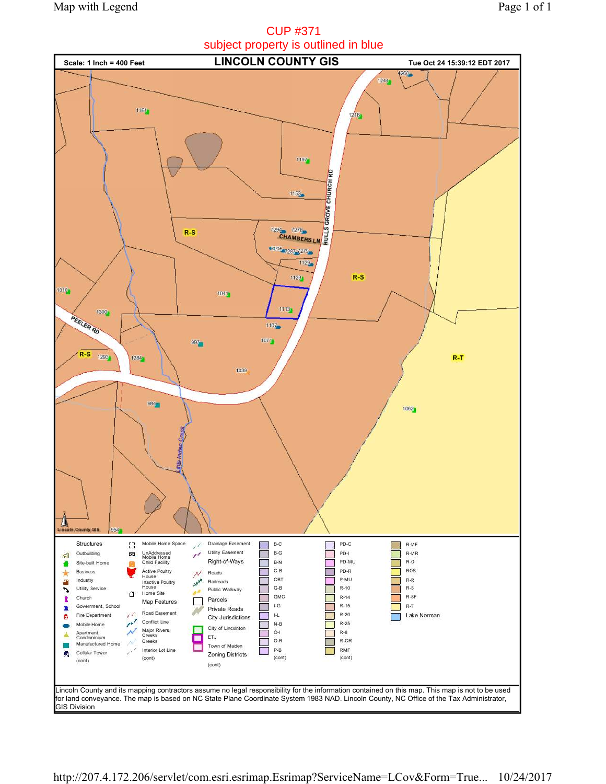